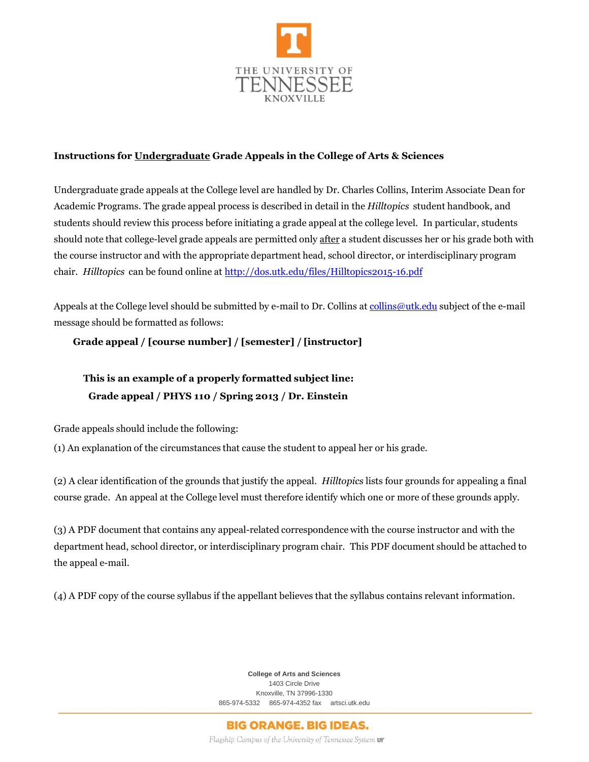

## **Instructions for Undergraduate Grade Appeals in the College of Arts & Sciences**

Undergraduate grade appeals at the College level are handled by Dr. Charles Collins, Interim Associate Dean for Academic Programs. The grade appeal process is described in detail in the *Hilltopics* student handbook, and students should review this process before initiating a grade appeal at the college level. In particular, students should note that college-level grade appeals are permitted only after a student discusses her or his grade both with the course instructor and with the appropriate department head, school director, or interdisciplinary program chair. *Hilltopics* can be found online a[t http://dos.utk.edu/files/Hilltopics2015-16.pdf](http://dos.utk.edu/files/Hilltopics2015-16.pdf)

Appeals at the College level should be submitted by e-mail to Dr. Collins at [collins@utk.edu](mailto:collins@utk.edu) subject of the e-mail message should be formatted as follows:

## **Grade appeal / [course number] / [semester] / [instructor]**

## **This is an example of a properly formatted subject line: Grade appeal / PHYS 110 / Spring 2013 / Dr. Einstein**

Grade appeals should include the following:

(1) An explanation of the circumstances that cause the student to appeal her or his grade.

(2) A clear identification of the grounds that justify the appeal. *Hilltopics* lists four grounds for appealing a final course grade. An appeal at the College level must therefore identify which one or more of these grounds apply.

(3) A PDF document that contains any appeal-related correspondence with the course instructor and with the department head, school director, or interdisciplinary program chair. This PDF document should be attached to the appeal e-mail.

(4) A PDF copy of the course syllabus if the appellant believes that the syllabus contains relevant information.

**College of Arts and Sciences** 1403 Circle Drive Knoxville, TN 37996-1330 865-974-5332 865-974-4352 fax artsci.utk.edu